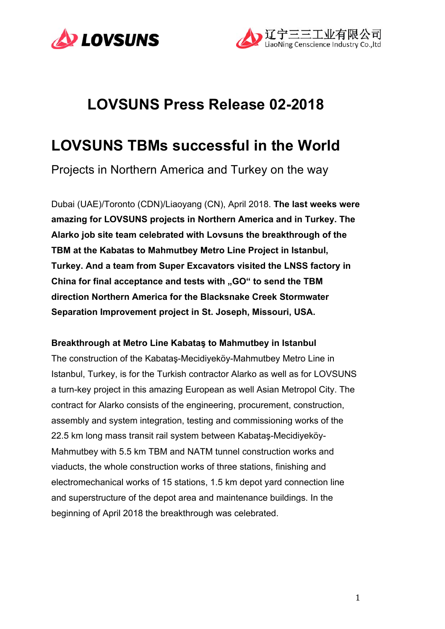



# **LOVSUNS Press Release 02-2018**

# **LOVSUNS TBMs successful in the World**

Projects in Northern America and Turkey on the way

Dubai (UAE)/Toronto (CDN)/Liaoyang (CN), April 2018. **The last weeks were amazing for LOVSUNS projects in Northern America and in Turkey. The Alarko job site team celebrated with Lovsuns the breakthrough of the TBM at the Kabatas to Mahmutbey Metro Line Project in Istanbul, Turkey. And a team from Super Excavators visited the LNSS factory in**  China for final acceptance and tests with "GO" to send the TBM **direction Northern America for the Blacksnake Creek Stormwater Separation Improvement project in St. Joseph, Missouri, USA.**

#### **Breakthrough at Metro Line Kabataş to Mahmutbey in Istanbul**

The construction of the Kabataş-Mecidiyeköy-Mahmutbey Metro Line in Istanbul, Turkey, is for the Turkish contractor Alarko as well as for LOVSUNS a turn-key project in this amazing European as well Asian Metropol City. The contract for Alarko consists of the engineering, procurement, construction, assembly and system integration, testing and commissioning works of the 22.5 km long mass transit rail system between Kabataş-Mecidiyeköy-Mahmutbey with 5.5 km TBM and NATM tunnel construction works and viaducts, the whole construction works of three stations, finishing and electromechanical works of 15 stations, 1.5 km depot yard connection line and superstructure of the depot area and maintenance buildings. In the beginning of April 2018 the breakthrough was celebrated.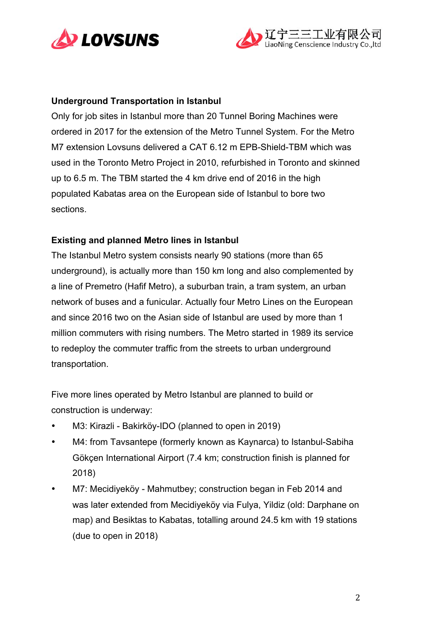



## **Underground Transportation in Istanbul**

Only for job sites in Istanbul more than 20 Tunnel Boring Machines were ordered in 2017 for the extension of the Metro Tunnel System. For the Metro M7 extension Lovsuns delivered a CAT 6.12 m EPB-Shield-TBM which was used in the Toronto Metro Project in 2010, refurbished in Toronto and skinned up to 6.5 m. The TBM started the 4 km drive end of 2016 in the high populated Kabatas area on the European side of Istanbul to bore two sections.

## **Existing and planned Metro lines in Istanbul**

The Istanbul Metro system consists nearly 90 stations (more than 65 underground), is actually more than 150 km long and also complemented by a line of Premetro (Hafif Metro), a suburban train, a tram system, an urban network of buses and a funicular. Actually four Metro Lines on the European and since 2016 two on the Asian side of Istanbul are used by more than 1 million commuters with rising numbers. The Metro started in 1989 its service to redeploy the commuter traffic from the streets to urban underground transportation.

Five more lines operated by Metro Istanbul are planned to build or construction is underway:

- M3: Kirazli Bakirköy-IDO (planned to open in 2019)
- M4: from Tavsantepe (formerly known as Kaynarca) to Istanbul-Sabiha Gökçen International Airport (7.4 km; construction finish is planned for 2018)
- M7: Mecidiyeköy Mahmutbey; construction began in Feb 2014 and was later extended from Mecidiyeköy via Fulya, Yildiz (old: Darphane on map) and Besiktas to Kabatas, totalling around 24.5 km with 19 stations (due to open in 2018)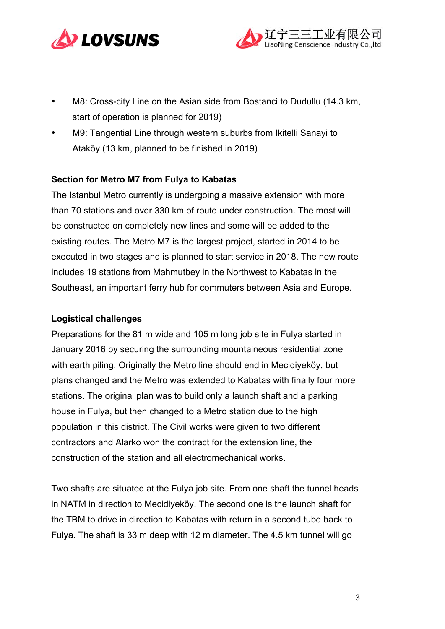



- M8: Cross-city Line on the Asian side from Bostanci to Dudullu (14.3 km, start of operation is planned for 2019)
- M9: Tangential Line through western suburbs from Ikitelli Sanayi to Ataköy (13 km, planned to be finished in 2019)

## **Section for Metro M7 from Fulya to Kabatas**

The Istanbul Metro currently is undergoing a massive extension with more than 70 stations and over 330 km of route under construction. The most will be constructed on completely new lines and some will be added to the existing routes. The Metro M7 is the largest project, started in 2014 to be executed in two stages and is planned to start service in 2018. The new route includes 19 stations from Mahmutbey in the Northwest to Kabatas in the Southeast, an important ferry hub for commuters between Asia and Europe.

#### **Logistical challenges**

Preparations for the 81 m wide and 105 m long job site in Fulya started in January 2016 by securing the surrounding mountaineous residential zone with earth piling. Originally the Metro line should end in Mecidiveköy, but plans changed and the Metro was extended to Kabatas with finally four more stations. The original plan was to build only a launch shaft and a parking house in Fulya, but then changed to a Metro station due to the high population in this district. The Civil works were given to two different contractors and Alarko won the contract for the extension line, the construction of the station and all electromechanical works.

Two shafts are situated at the Fulya job site. From one shaft the tunnel heads in NATM in direction to Mecidiyeköy. The second one is the launch shaft for the TBM to drive in direction to Kabatas with return in a second tube back to Fulya. The shaft is 33 m deep with 12 m diameter. The 4.5 km tunnel will go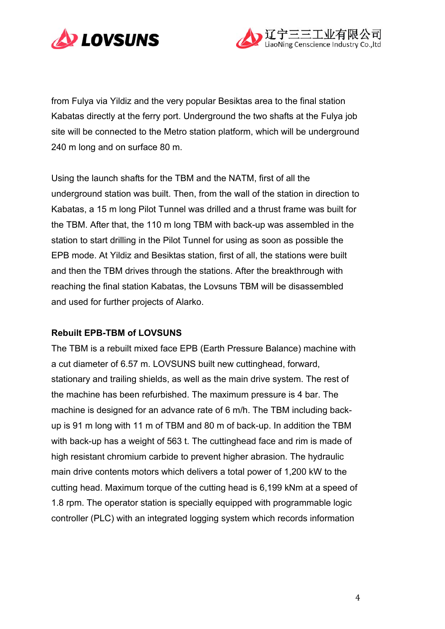



from Fulya via Yildiz and the very popular Besiktas area to the final station Kabatas directly at the ferry port. Underground the two shafts at the Fulya job site will be connected to the Metro station platform, which will be underground 240 m long and on surface 80 m.

Using the launch shafts for the TBM and the NATM, first of all the underground station was built. Then, from the wall of the station in direction to Kabatas, a 15 m long Pilot Tunnel was drilled and a thrust frame was built for the TBM. After that, the 110 m long TBM with back-up was assembled in the station to start drilling in the Pilot Tunnel for using as soon as possible the EPB mode. At Yildiz and Besiktas station, first of all, the stations were built and then the TBM drives through the stations. After the breakthrough with reaching the final station Kabatas, the Lovsuns TBM will be disassembled and used for further projects of Alarko.

#### **Rebuilt EPB-TBM of LOVSUNS**

The TBM is a rebuilt mixed face EPB (Earth Pressure Balance) machine with a cut diameter of 6.57 m. LOVSUNS built new cuttinghead, forward, stationary and trailing shields, as well as the main drive system. The rest of the machine has been refurbished. The maximum pressure is 4 bar. The machine is designed for an advance rate of 6 m/h. The TBM including backup is 91 m long with 11 m of TBM and 80 m of back-up. In addition the TBM with back-up has a weight of 563 t. The cuttinghead face and rim is made of high resistant chromium carbide to prevent higher abrasion. The hydraulic main drive contents motors which delivers a total power of 1,200 kW to the cutting head. Maximum torque of the cutting head is 6,199 kNm at a speed of 1.8 rpm. The operator station is specially equipped with programmable logic controller (PLC) with an integrated logging system which records information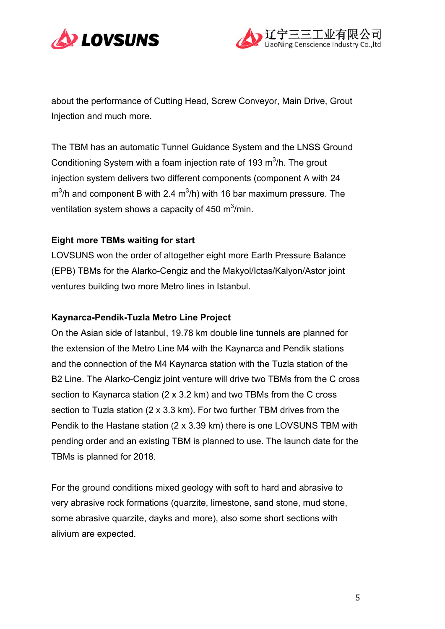



about the performance of Cutting Head, Screw Conveyor, Main Drive, Grout Injection and much more.

The TBM has an automatic Tunnel Guidance System and the LNSS Ground Conditioning System with a foam injection rate of 193  $m<sup>3</sup>/h$ . The grout injection system delivers two different components (component A with 24  $\text{m}^3$ /h and component B with 2.4  $\text{m}^3$ /h) with 16 bar maximum pressure. The ventilation system shows a capacity of 450 m $3/$ min.

## **Eight more TBMs waiting for start**

LOVSUNS won the order of altogether eight more Earth Pressure Balance (EPB) TBMs for the Alarko-Cengiz and the Makyol/Ictas/Kalyon/Astor joint ventures building two more Metro lines in Istanbul.

#### **Kaynarca-Pendik-Tuzla Metro Line Project**

On the Asian side of Istanbul, 19.78 km double line tunnels are planned for the extension of the Metro Line M4 with the Kaynarca and Pendik stations and the connection of the M4 Kaynarca station with the Tuzla station of the B2 Line. The Alarko-Cengiz joint venture will drive two TBMs from the C cross section to Kaynarca station (2 x 3.2 km) and two TBMs from the C cross section to Tuzla station (2 x 3.3 km). For two further TBM drives from the Pendik to the Hastane station (2 x 3.39 km) there is one LOVSUNS TBM with pending order and an existing TBM is planned to use. The launch date for the TBMs is planned for 2018.

For the ground conditions mixed geology with soft to hard and abrasive to very abrasive rock formations (quarzite, limestone, sand stone, mud stone, some abrasive quarzite, dayks and more), also some short sections with alivium are expected.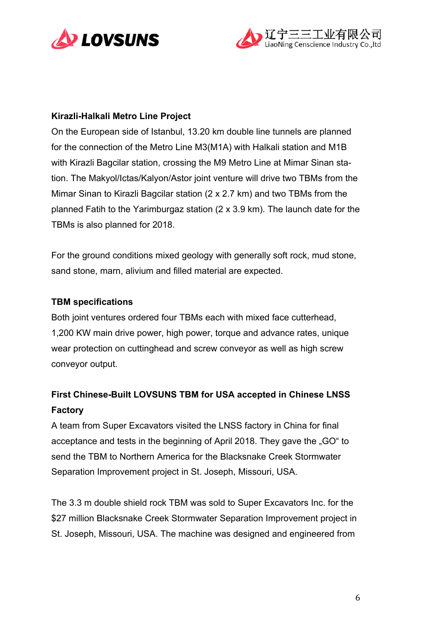



## **Kirazli-Halkali Metro Line Project**

On the European side of Istanbul, 13.20 km double line tunnels are planned for the connection of the Metro Line M3(M1A) with Halkali station and M1B with Kirazli Bagcilar station, crossing the M9 Metro Line at Mimar Sinan station. The Makyol/Ictas/Kalyon/Astor joint venture will drive two TBMs from the Mimar Sinan to Kirazli Bagcilar station (2 x 2.7 km) and two TBMs from the planned Fatih to the Yarimburgaz station (2 x 3.9 km). The launch date for the TBMs is also planned for 2018.

For the ground conditions mixed geology with generally soft rock, mud stone, sand stone, marn, alivium and filled material are expected.

#### **TBM specifications**

Both joint ventures ordered four TBMs each with mixed face cutterhead, 1,200 KW main drive power, high power, torque and advance rates, unique wear protection on cuttinghead and screw conveyor as well as high screw conveyor output.

# **First Chinese-Built LOVSUNS TBM for USA accepted in Chinese LNSS Factory**

A team from Super Excavators visited the LNSS factory in China for final acceptance and tests in the beginning of April 2018. They gave the "GO" to send the TBM to Northern America for the Blacksnake Creek Stormwater Separation Improvement project in St. Joseph, Missouri, USA.

The 3.3 m double shield rock TBM was sold to Super Excavators Inc. for the \$27 million Blacksnake Creek Stormwater Separation Improvement project in St. Joseph, Missouri, USA. The machine was designed and engineered from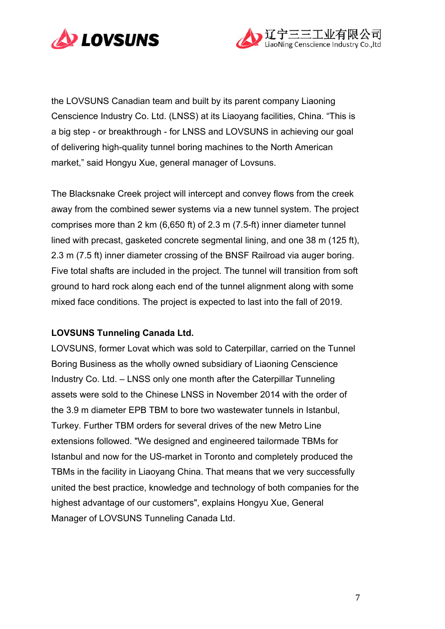



the LOVSUNS Canadian team and built by its parent company Liaoning Censcience Industry Co. Ltd. (LNSS) at its Liaoyang facilities, China. "This is a big step - or breakthrough - for LNSS and LOVSUNS in achieving our goal of delivering high-quality tunnel boring machines to the North American market," said Hongyu Xue, general manager of Lovsuns.

The Blacksnake Creek project will intercept and convey flows from the creek away from the combined sewer systems via a new tunnel system. The project comprises more than 2 km (6,650 ft) of 2.3 m (7.5-ft) inner diameter tunnel lined with precast, gasketed concrete segmental lining, and one 38 m (125 ft), 2.3 m (7.5 ft) inner diameter crossing of the BNSF Railroad via auger boring. Five total shafts are included in the project. The tunnel will transition from soft ground to hard rock along each end of the tunnel alignment along with some mixed face conditions. The project is expected to last into the fall of 2019.

# **LOVSUNS Tunneling Canada Ltd.**

LOVSUNS, former Lovat which was sold to Caterpillar, carried on the Tunnel Boring Business as the wholly owned subsidiary of Liaoning Censcience Industry Co. Ltd. – LNSS only one month after the Caterpillar Tunneling assets were sold to the Chinese LNSS in November 2014 with the order of the 3.9 m diameter EPB TBM to bore two wastewater tunnels in Istanbul, Turkey. Further TBM orders for several drives of the new Metro Line extensions followed. "We designed and engineered tailormade TBMs for Istanbul and now for the US-market in Toronto and completely produced the TBMs in the facility in Liaoyang China. That means that we very successfully united the best practice, knowledge and technology of both companies for the highest advantage of our customers", explains Hongyu Xue, General Manager of LOVSUNS Tunneling Canada Ltd.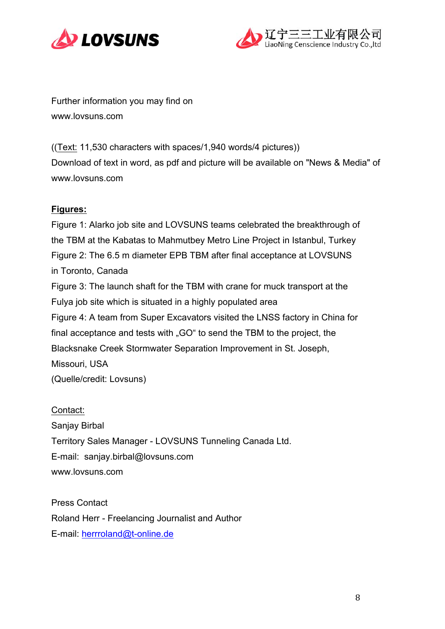



Further information you may find on www.lovsuns.com

((Text: 11,530 characters with spaces/1,940 words/4 pictures)) Download of text in word, as pdf and picture will be available on "News & Media" of www.lovsuns.com

# **Figures:**

Figure 1: Alarko job site and LOVSUNS teams celebrated the breakthrough of the TBM at the Kabatas to Mahmutbey Metro Line Project in Istanbul, Turkey Figure 2: The 6.5 m diameter EPB TBM after final acceptance at LOVSUNS in Toronto, Canada Figure 3: The launch shaft for the TBM with crane for muck transport at the Fulya job site which is situated in a highly populated area Figure 4: A team from Super Excavators visited the LNSS factory in China for final acceptance and tests with "GO" to send the TBM to the project, the Blacksnake Creek Stormwater Separation Improvement in St. Joseph, Missouri, USA (Quelle/credit: Lovsuns)

Contact: Sanjay Birbal Territory Sales Manager - LOVSUNS Tunneling Canada Ltd. E-mail: sanjay.birbal@lovsuns.com www.lovsuns.com

Press Contact Roland Herr - Freelancing Journalist and Author E-mail: herrroland@t-online.de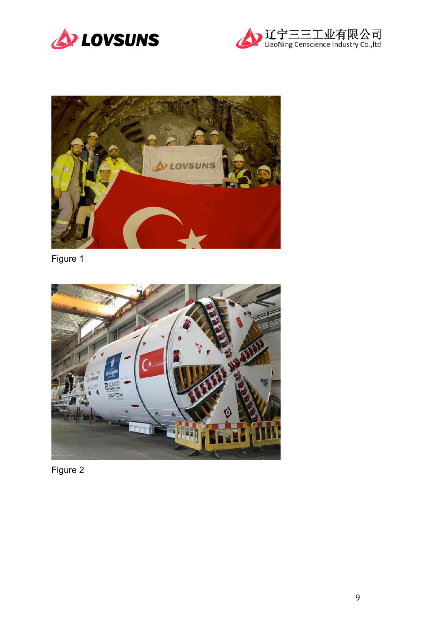





Figure 1



Figure 2